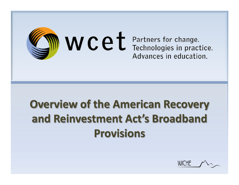

# **Overview of the American Recovery and Reinvestment Act's Broadband Provisions**

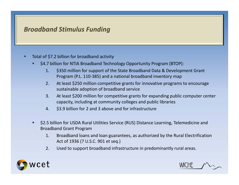### *Broadband Stimulus Funding*

- Г Total of \$7.2 billion for broadband activity
	- \$4.7 billion for NTIA Broadband Technology Opportunity Program (BTOP):
		- 1. \$350 million for support of the State Broadband Data & Development Grant Program (P.L. 110‐385) and <sup>a</sup> national broadband inventory map
		- $2.$ At least \$250 million competitive grants for innovative programs to encourage sustainable adoption of broadband service
		- 3. At least \$200 million for competitive grants for expanding public computer center capacity, including at community colleges and public libraries
		- 4. \$3.9 billion for 2 and 3 above and for infrastructure
	- п \$2.5 billion for USDA Rural Utilities Service (RUS) Distance Learning, Telemedicine and Broadband Grant Program
		- 1. Broadband loans and loan guarantees, as authorized by the Rural Electrification Act of 1936 (7 U.S.C. 901 et seq.)
		- 2. Used to support broadband infrastructure in predominantly rural areas.



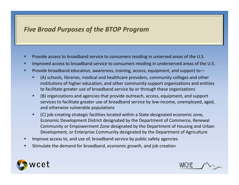### *Five Broad Purposes of the BTOP Program*

- Г **Provide access to broadband service to consumers residing in unserved areas of the U.S.**
- п Improved access to broadband service to consumers residing in underserved areas of the U.S.
- L **Provide broadband education, awareness, training, access, equipment, and support to** 
	- (A) schools, libraries, medical and healthcare providers, community colleges and other institutions of higher education, and other community support organizations and entities to facilitate greater use of broadband service by or through these organizations
	- . (B) organizations and agencies that provide outreach, access, equipment, and support services to facilitate greater use of broadband service by low‐income, unemployed, aged, and otherwise vulnerable populations
	- $\blacksquare$  (C) job‐creating strategic facilities located within <sup>a</sup> State‐designated economic zone, Economic Development District designated by the Department of Commerce, Renewal Community or Empowerment Zone designated by the Department of Housing and Urban Development, or Enterprise Community designated by the Department of Agriculture
- п Improve access to, and use of, broadband service by public safety agencies
- Stimulate the demand for broadband, economic growth, and job creation



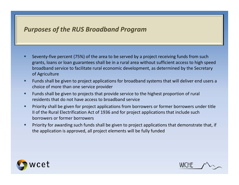#### *Purposes of the RUS Broadband Program*

- Г Seventy-five percent (75%) of the area to be served by a project receiving funds from such grants, loans or loan guarantees shall be in <sup>a</sup> rural area without sufficient access to high speed broadband service to facilitate rural economic development, as determined by the Secretary of Agriculture
- . Funds shall be given to project applications for broadband systems that will deliver end users <sup>a</sup> choice of more than one service provider
- п Funds shall be given to projects that provide service to the highest proportion of rural residents that do not have access to broadband service
- $\blacksquare$  Priority shall be given for project applications from borrowers or former borrowers under title II of the Rural Electrification Act of 1936 and for project applications that include such borrowers or former borrowers
- Priority for awarding such funds shall be given to project applications that demonstrate that, if the application is approved, all project elements will be fully funded



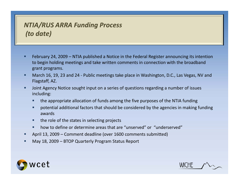# *NTIA/RUS ARRA Funding Process (to date)*

- Г February 24, 2009 – NTIA published <sup>a</sup> Notice in the Federal Register announcing its intention to begin holding meetings and take written comments in connection with the broadband grant programs.
- п ■ March 16, 19, 23 and 24 - Public meetings take place in Washington, D.C., Las Vegas, NV and Flagstaff, AZ.
- п Joint Agency Notice sought input on <sup>a</sup> series of questions regarding <sup>a</sup> number of issues including:
	- П the appropriate allocation of funds among the five purposes of the NTIA funding
	- potential additional factors that should be considered by the agencies in making funding awards
	- $\blacksquare$ **the role of the states in selecting projects**
	- **•** how to define or determine areas that are "unserved" or "underserved"
- п April 13, 2009 – Comment deadline (over 1600 comments submitted)
- п May 18, 2009 – BTOP Quarterly Program Status Report



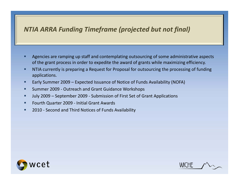# *NTIA ARRA Funding Timeframe (projected but not final)*

- Г Agencies are ramping up staff and contemplating outsourcing of some administrative aspects of the grant process in order to expedite the award of grants while maximizing efficiency.
- п **• NTIA currently is preparing a Request for Proposal for outsourcing the processing of funding** applications.
- п Early Summer 2009 – Expected Issuance of Notice of Funds Availability (NOFA)
- п ■ Summer 2009 - Outreach and Grant Guidance Workshops
- п July 2009 – September 2009 ‐ Submission of First Set of Grant Applications
- Fourth Quarter 2009 Initial Grant Awards
- П ■ 2010 - Second and Third Notices of Funds Availability



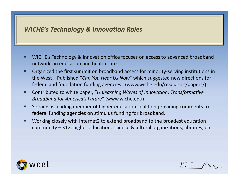#### *WICHE's Technology & Innovation Roles*

- WICHE's Technology & Innovation office focuses on access to advanced broadband networks in education and health care.
- П Organized the first summit on broadband access for minority‐serving institutions in the West . Published "*Can You Hear Us Now*" which suggested new directions for federal and foundation funding agencies. (www.wiche.edu/resources/papers/)
- $\blacksquare$  Contributed to white paper, "*Unleashing Waves of Innovation: Transformative Broadband for America's Future*" (www.wiche.edu)
- $\blacksquare$  Serving as leading member of higher education coalition providing comments to federal funding agencies on stimulus funding for broadband.
- п Working closely with Internet2 to extend broadband to the broadest education community – K12, higher education, science &cultural organizations, libraries, etc.



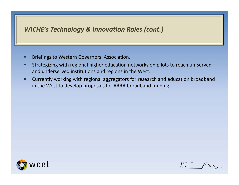# *WICHE's Technology & Innovation Roles (cont.)*

- Briefings to Western Governors' Association.
- п Strategizing with regional higher education networks on pilots to reach un‐served and underserved institutions and regions in the West.
- П Currently working with regional aggregators for research and education broadband in the West to develop proposals for ARRA broadband funding.



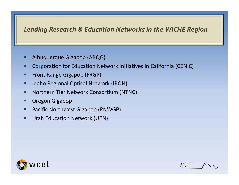### *Leading Research & Education Networks in the WICHE Region*

- L Albuquerque Gigapop (ABQG)
- Г Corporation for Education Network Initiatives in California (CENIC)
- $\blacksquare$ Front Range Gigapop (FRGP)
- $\blacksquare$ **IDED Algerical State Incontator (IRON) I**
- П **Northern Tier Network Consortium (NTNC)**
- П Oregon Gigapop
- Ξ Pacific Northwest Gigapop (PNWGP)
- $\blacksquare$ ■ Utah Education Network (UEN)



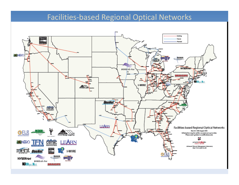#### Facilities‐based Regional Optical Networks

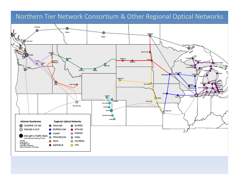#### Northern Tier Network Consortium & Other Regional Optical Networks